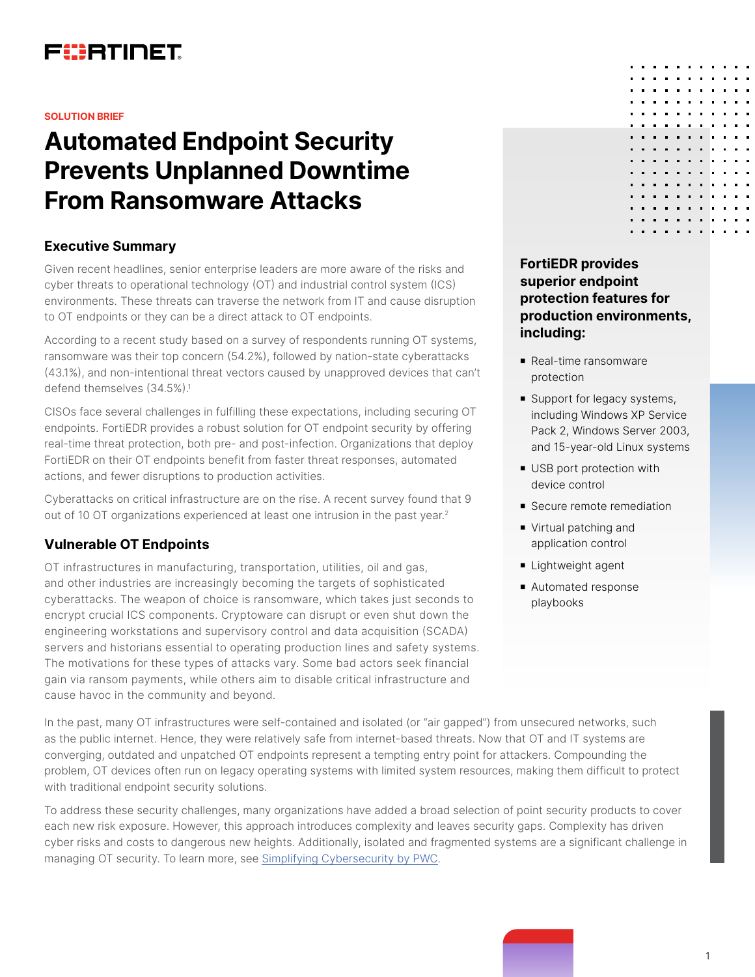

#### **SOLUTION BRIEF**

# **Automated Endpoint Security Prevents Unplanned Downtime From Ransomware Attacks**

## **Executive Summary**

Given recent headlines, senior enterprise leaders are more aware of the risks and cyber threats to operational technology (OT) and industrial control system (ICS) environments. These threats can traverse the network from IT and cause disruption to OT endpoints or they can be a direct attack to OT endpoints.

According to a recent study based on a survey of respondents running OT systems, ransomware was their top concern (54.2%), followed by nation-state cyberattacks (43.1%), and non-intentional threat vectors caused by unapproved devices that can't defend themselves (34.5%).<sup>1</sup>

CISOs face several challenges in fulfilling these expectations, including securing OT endpoints. FortiEDR provides a robust solution for OT endpoint security by offering real-time threat protection, both pre- and post-infection. Organizations that deploy FortiEDR on their OT endpoints benefit from faster threat responses, automated actions, and fewer disruptions to production activities.

Cyberattacks on critical infrastructure are on the rise. A recent survey found that 9 out of 10 OT organizations experienced at least one intrusion in the past year.<sup>2</sup>

### **Vulnerable OT Endpoints**

OT infrastructures in manufacturing, transportation, utilities, oil and gas, and other industries are increasingly becoming the targets of sophisticated cyberattacks. The weapon of choice is ransomware, which takes just seconds to encrypt crucial ICS components. Cryptoware can disrupt or even shut down the engineering workstations and supervisory control and data acquisition (SCADA) servers and historians essential to operating production lines and safety systems. The motivations for these types of attacks vary. Some bad actors seek financial gain via ransom payments, while others aim to disable critical infrastructure and cause havoc in the community and beyond.

In the past, many OT infrastructures were self-contained and isolated (or "air gapped") from unsecured networks, such as the public internet. Hence, they were relatively safe from internet-based threats. Now that OT and IT systems are converging, outdated and unpatched OT endpoints represent a tempting entry point for attackers. Compounding the problem, OT devices often run on legacy operating systems with limited system resources, making them difficult to protect with traditional endpoint security solutions.

To address these security challenges, many organizations have added a broad selection of point security products to cover each new risk exposure. However, this approach introduces complexity and leaves security gaps. Complexity has driven cyber risks and costs to dangerous new heights. Additionally, isolated and fragmented systems are a significant challenge in managing OT security. To learn more, see [Simplifying Cybersecurity by PWC](https://www.pwc.com/gx/en/issues/reinventing-the-future/take-on-tomorrow/simplifying-cybersecurity.html).

# **FortiEDR provides superior endpoint protection features for production environments, including:**

- Real-time ransomware protection
- Support for legacy systems, including Windows XP Service Pack 2, Windows Server 2003, and 15-year-old Linux systems
- **USB** port protection with device control
- **B** Secure remote remediation
- Virtual patching and application control
- **E** Lightweight agent
- Automated response playbooks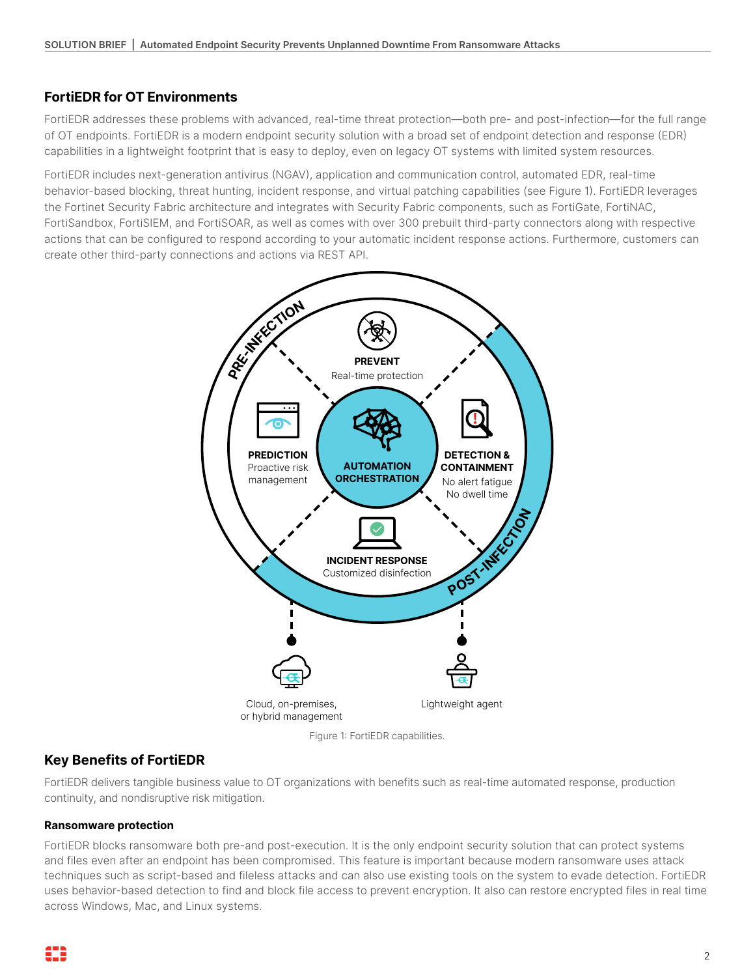## **FortiEDR for OT Environments**

FortiEDR addresses these problems with advanced, real-time threat protection—both pre- and post-infection—for the full range of OT endpoints. FortiEDR is a modern endpoint security solution with a broad set of endpoint detection and response (EDR) capabilities in a lightweight footprint that is easy to deploy, even on legacy OT systems with limited system resources.

FortiEDR includes next-generation antivirus (NGAV), application and communication control, automated EDR, real-time behavior-based blocking, threat hunting, incident response, and virtual patching capabilities (see Figure 1). FortiEDR leverages the Fortinet Security Fabric architecture and integrates with Security Fabric components, such as FortiGate, FortiNAC, FortiSandbox, FortiSIEM, and FortiSOAR, as well as comes with over 300 prebuilt third-party connectors along with respective actions that can be configured to respond according to your automatic incident response actions. Furthermore, customers can create other third-party connections and actions via REST API.



Figure 1: FortiEDR capabilities.

## **Key Benefits of FortiEDR**

FortiEDR delivers tangible business value to OT organizations with benefits such as real-time automated response, production continuity, and nondisruptive risk mitigation.

#### **Ransomware protection**

FortiEDR blocks ransomware both pre-and post-execution. It is the only endpoint security solution that can protect systems and files even after an endpoint has been compromised. This feature is important because modern ransomware uses attack techniques such as script-based and fileless attacks and can also use existing tools on the system to evade detection. FortiEDR uses behavior-based detection to find and block file access to prevent encryption. It also can restore encrypted files in real time across Windows, Mac, and Linux systems.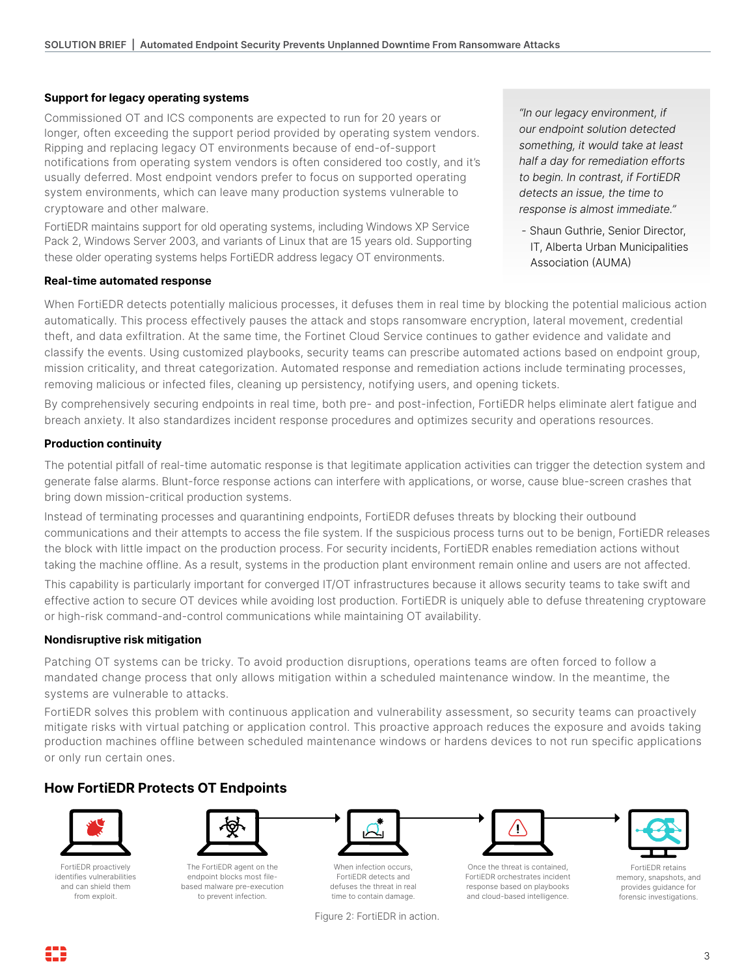#### **Support for legacy operating systems**

Commissioned OT and ICS components are expected to run for 20 years or longer, often exceeding the support period provided by operating system vendors. Ripping and replacing legacy OT environments because of end-of-support notifications from operating system vendors is often considered too costly, and it's usually deferred. Most endpoint vendors prefer to focus on supported operating system environments, which can leave many production systems vulnerable to cryptoware and other malware.

FortiEDR maintains support for old operating systems, including Windows XP Service Pack 2, Windows Server 2003, and variants of Linux that are 15 years old. Supporting these older operating systems helps FortiEDR address legacy OT environments.

#### **Real-time automated response**

*"In our legacy environment, if our endpoint solution detected something, it would take at least half a day for remediation efforts to begin. In contrast, if FortiEDR detects an issue, the time to response is almost immediate."*

*-* Shaun Guthrie, Senior Director, IT, Alberta Urban Municipalities Association (AUMA)

When FortiEDR detects potentially malicious processes, it defuses them in real time by blocking the potential malicious action automatically. This process effectively pauses the attack and stops ransomware encryption, lateral movement, credential theft, and data exfiltration. At the same time, the Fortinet Cloud Service continues to gather evidence and validate and classify the events. Using customized playbooks, security teams can prescribe automated actions based on endpoint group, mission criticality, and threat categorization. Automated response and remediation actions include terminating processes, removing malicious or infected files, cleaning up persistency, notifying users, and opening tickets.

By comprehensively securing endpoints in real time, both pre- and post-infection, FortiEDR helps eliminate alert fatigue and breach anxiety. It also standardizes incident response procedures and optimizes security and operations resources.

#### **Production continuity**

The potential pitfall of real-time automatic response is that legitimate application activities can trigger the detection system and generate false alarms. Blunt-force response actions can interfere with applications, or worse, cause blue-screen crashes that bring down mission-critical production systems.

Instead of terminating processes and quarantining endpoints, FortiEDR defuses threats by blocking their outbound communications and their attempts to access the file system. If the suspicious process turns out to be benign, FortiEDR releases the block with little impact on the production process. For security incidents, FortiEDR enables remediation actions without taking the machine offline. As a result, systems in the production plant environment remain online and users are not affected.

This capability is particularly important for converged IT/OT infrastructures because it allows security teams to take swift and effective action to secure OT devices while avoiding lost production. FortiEDR is uniquely able to defuse threatening cryptoware or high-risk command-and-control communications while maintaining OT availability.

#### **Nondisruptive risk mitigation**

Patching OT systems can be tricky. To avoid production disruptions, operations teams are often forced to follow a mandated change process that only allows mitigation within a scheduled maintenance window. In the meantime, the systems are vulnerable to attacks.

FortiEDR solves this problem with continuous application and vulnerability assessment, so security teams can proactively mitigate risks with virtual patching or application control. This proactive approach reduces the exposure and avoids taking production machines offline between scheduled maintenance windows or hardens devices to not run specific applications or only run certain ones.

## **How FortiEDR Protects OT Endpoints**



FortiEDR proactively identifies vulnerabilities and can shield them from exploit.



The FortiEDR agent on the endpoint blocks most filebased malware pre-execution to prevent infection.



When infection occurs, FortiEDR detects and defuses the threat in real time to contain damage.





Once the threat is contained, FortiEDR orchestrates incident response based on playbooks and cloud-based intelligence.



FortiEDR retains memory, snapshots, and provides guidance for forensic investigations.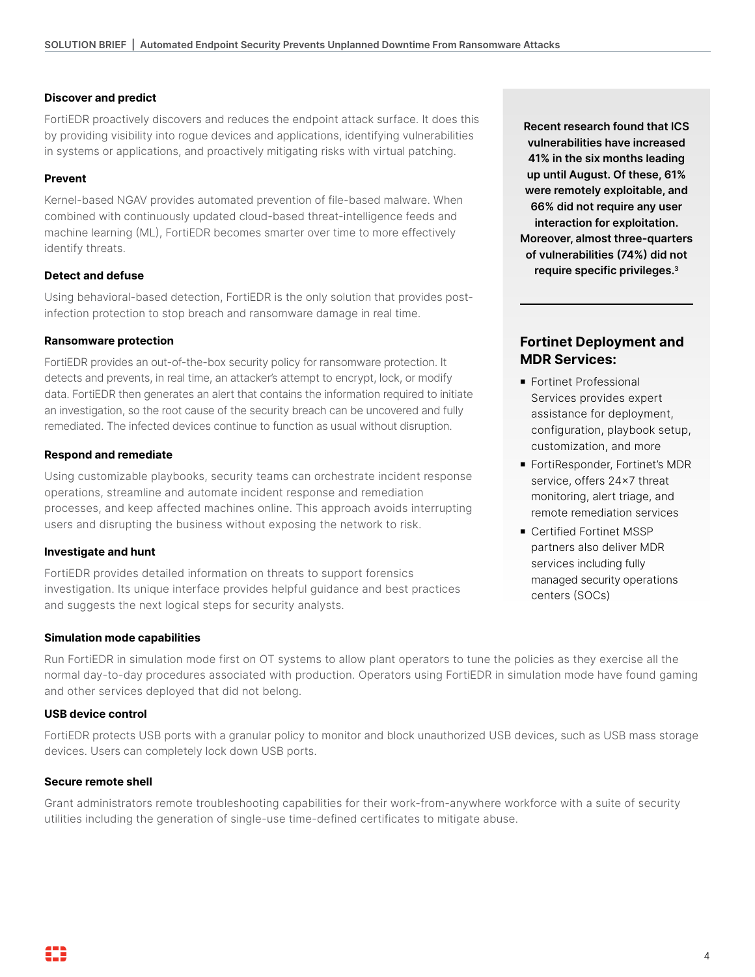#### **Discover and predict**

FortiEDR proactively discovers and reduces the endpoint attack surface. It does this by providing visibility into rogue devices and applications, identifying vulnerabilities in systems or applications, and proactively mitigating risks with virtual patching.

#### **Prevent**

Kernel-based NGAV provides automated prevention of file-based malware. When combined with continuously updated cloud-based threat-intelligence feeds and machine learning (ML), FortiEDR becomes smarter over time to more effectively identify threats.

#### **Detect and defuse**

Using behavioral-based detection, FortiEDR is the only solution that provides postinfection protection to stop breach and ransomware damage in real time.

#### **Ransomware protection**

FortiEDR provides an out-of-the-box security policy for ransomware protection. It detects and prevents, in real time, an attacker's attempt to encrypt, lock, or modify data. FortiEDR then generates an alert that contains the information required to initiate an investigation, so the root cause of the security breach can be uncovered and fully remediated. The infected devices continue to function as usual without disruption.

#### **Respond and remediate**

Using customizable playbooks, security teams can orchestrate incident response operations, streamline and automate incident response and remediation processes, and keep affected machines online. This approach avoids interrupting users and disrupting the business without exposing the network to risk.

#### **Investigate and hunt**

FortiEDR provides detailed information on threats to support forensics investigation. Its unique interface provides helpful guidance and best practices and suggests the next logical steps for security analysts.

#### **Simulation mode capabilities**

Run FortiEDR in simulation mode first on OT systems to allow plant operators to tune the policies as they exercise all the normal day-to-day procedures associated with production. Operators using FortiEDR in simulation mode have found gaming and other services deployed that did not belong.

#### **USB device control**

FortiEDR protects USB ports with a granular policy to monitor and block unauthorized USB devices, such as USB mass storage devices. Users can completely lock down USB ports.

#### **Secure remote shell**

Grant administrators remote troubleshooting capabilities for their work-from-anywhere workforce with a suite of security utilities including the generation of single-use time-defined certificates to mitigate abuse.

**Recent research found that ICS vulnerabilities have increased 41% in the six months leading up until August. Of these, 61% were remotely exploitable, and 66% did not require any user interaction for exploitation. Moreover, almost three-quarters of vulnerabilities (74%) did not require specific privileges.3**

# **Fortinet Deployment and MDR Services:**

- **Fortinet Professional** Services provides expert assistance for deployment, configuration, playbook setup, customization, and more
- FortiResponder, Fortinet's MDR service, offers 24x7 threat monitoring, alert triage, and remote remediation services
- **Certified Fortinet MSSP** partners also deliver MDR services including fully managed security operations centers (SOCs)